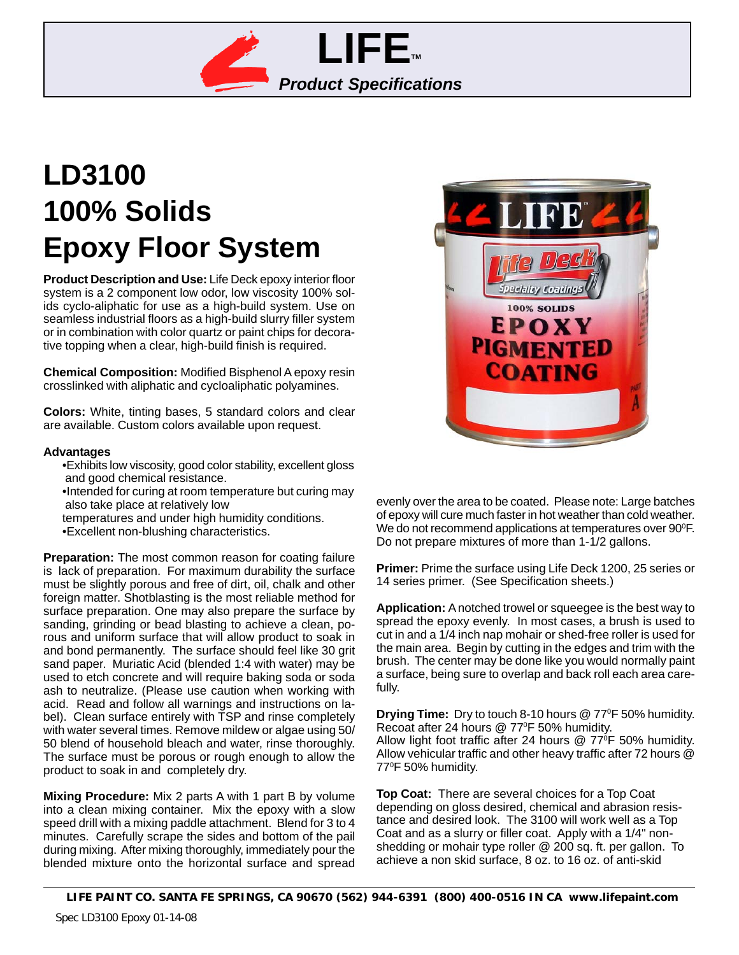

# **LD3100 100% Solids Epoxy Floor System**

**Product Description and Use:** Life Deck epoxy interior floor system is a 2 component low odor, low viscosity 100% solids cyclo-aliphatic for use as a high-build system. Use on seamless industrial floors as a high-build slurry filler system or in combination with color quartz or paint chips for decorative topping when a clear, high-build finish is required.

**Chemical Composition:** Modified Bisphenol A epoxy resin crosslinked with aliphatic and cycloaliphatic polyamines.

**Colors:** White, tinting bases, 5 standard colors and clear are available. Custom colors available upon request.

#### **Advantages**

- •Exhibits low viscosity, good color stability, excellent gloss and good chemical resistance.
- •Intended for curing at room temperature but curing may also take place at relatively low
- temperatures and under high humidity conditions. •Excellent non-blushing characteristics.

**Preparation:** The most common reason for coating failure is lack of preparation. For maximum durability the surface must be slightly porous and free of dirt, oil, chalk and other foreign matter. Shotblasting is the most reliable method for surface preparation. One may also prepare the surface by sanding, grinding or bead blasting to achieve a clean, porous and uniform surface that will allow product to soak in and bond permanently. The surface should feel like 30 grit sand paper. Muriatic Acid (blended 1:4 with water) may be used to etch concrete and will require baking soda or soda ash to neutralize. (Please use caution when working with acid. Read and follow all warnings and instructions on label). Clean surface entirely with TSP and rinse completely with water several times. Remove mildew or algae using 50/ 50 blend of household bleach and water, rinse thoroughly. The surface must be porous or rough enough to allow the product to soak in and completely dry.

**Mixing Procedure:** Mix 2 parts A with 1 part B by volume into a clean mixing container. Mix the epoxy with a slow speed drill with a mixing paddle attachment. Blend for 3 to 4 minutes. Carefully scrape the sides and bottom of the pail during mixing. After mixing thoroughly, immediately pour the blended mixture onto the horizontal surface and spread



evenly over the area to be coated. Please note: Large batches of epoxy will cure much faster in hot weather than cold weather. We do not recommend applications at temperatures over  $90^{\circ}$ F. Do not prepare mixtures of more than 1-1/2 gallons.

**Primer:** Prime the surface using Life Deck 1200, 25 series or 14 series primer. (See Specification sheets.)

**Application:** A notched trowel or squeegee is the best way to spread the epoxy evenly. In most cases, a brush is used to cut in and a 1/4 inch nap mohair or shed-free roller is used for the main area. Begin by cutting in the edges and trim with the brush. The center may be done like you would normally paint a surface, being sure to overlap and back roll each area carefully.

**Drying Time:** Dry to touch 8-10 hours @ 770 F 50% humidity. Recoat after 24 hours @ 77°F 50% humidity. Allow light foot traffic after 24 hours  $\omega$  77°F 50% humidity. Allow vehicular traffic and other heavy traffic after 72 hours @ 770 F 50% humidity.

**Top Coat:** There are several choices for a Top Coat depending on gloss desired, chemical and abrasion resistance and desired look. The 3100 will work well as a Top Coat and as a slurry or filler coat. Apply with a 1/4" nonshedding or mohair type roller @ 200 sq. ft. per gallon. To achieve a non skid surface, 8 oz. to 16 oz. of anti-skid

**LIFE PAINT CO. SANTA FE SPRINGS, CA 90670 (562) 944-6391 (800) 400-0516 IN CA www.lifepaint.com**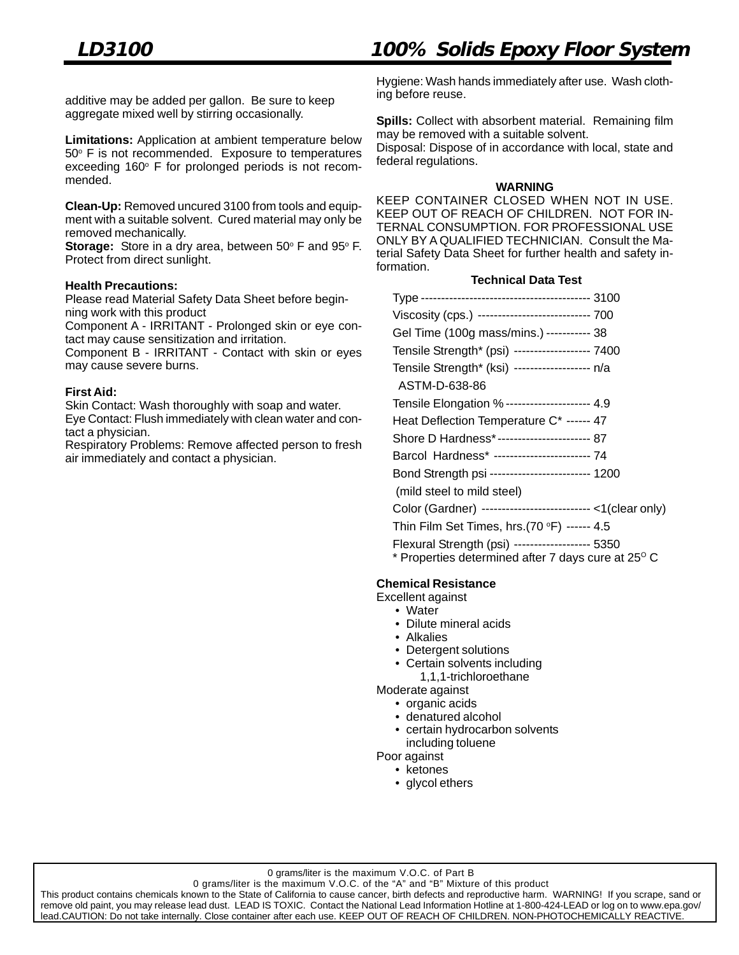additive may be added per gallon. Be sure to keep aggregate mixed well by stirring occasionally.

**Limitations:** Application at ambient temperature below 50° F is not recommended. Exposure to temperatures exceeding  $160^\circ$  F for prolonged periods is not recommended.

**Clean-Up:** Removed uncured 3100 from tools and equipment with a suitable solvent. Cured material may only be removed mechanically.

**Storage:** Store in a dry area, between 50° F and 95° F. Protect from direct sunlight.

## **Health Precautions:**

Please read Material Safety Data Sheet before beginning work with this product

Component A - IRRITANT - Prolonged skin or eye contact may cause sensitization and irritation.

Component B - IRRITANT - Contact with skin or eyes may cause severe burns.

#### **First Aid:**

Skin Contact: Wash thoroughly with soap and water. Eye Contact: Flush immediately with clean water and contact a physician.

Respiratory Problems: Remove affected person to fresh air immediately and contact a physician.

Hygiene: Wash hands immediately after use. Wash clothing before reuse.

**Spills:** Collect with absorbent material. Remaining film may be removed with a suitable solvent.

Disposal: Dispose of in accordance with local, state and federal regulations.

#### **WARNING**

KEEP CONTAINER CLOSED WHEN NOT IN USE. KEEP OUT OF REACH OF CHILDREN. NOT FOR IN-TERNAL CONSUMPTION. FOR PROFESSIONAL USE ONLY BY A QUALIFIED TECHNICIAN. Consult the Material Safety Data Sheet for further health and safety information.

#### **Technical Data Test**

| Viscosity (cps.) --------------------------- 700           |
|------------------------------------------------------------|
| Gel Time (100g mass/mins.) ----------- 38                  |
| Tensile Strength* (psi) ------------------- 7400           |
| Tensile Strength* (ksi) ------------------- n/a            |
| ASTM-D-638-86                                              |
| Tensile Elongation % --------------------- 4.9             |
| Heat Deflection Temperature C* ------ 47                   |
| Shore D Hardness*----------------------- 87                |
| Barcol Hardness* ------------------------ 74               |
| Bond Strength psi ------------------------ 1200            |
| (mild steel to mild steel)                                 |
| Color (Gardner) --------------------------- <1(clear only) |
| Thin Film Set Times, hrs.(70 °F) ------ 4.5                |

Flexural Strength (psi) ------------------- 5350  $*$  Properties determined after 7 days cure at 25 $\mathrm{^{\circ} C}$ 

## **Chemical Resistance**

Excellent against

- Water
	- Dilute mineral acids
	- Alkalies
	- Detergent solutions
	- Certain solvents including
	- 1,1,1-trichloroethane
- Moderate against • organic acids
	- denatured alcohol
	- certain hydrocarbon solvents including toluene

Poor against

• ketones

• glycol ethers

0 grams/liter is the maximum V.O.C. of the "A" and "B" Mixture of this product

This product contains chemicals known to the State of California to cause cancer, birth defects and reproductive harm. WARNING! If you scrape, sand or remove old paint, you may release lead dust. LEAD IS TOXIC. Contact the National Lead Information Hotline at 1-800-424-LEAD or log on to www.epa.gov/ lead.CAUTION: Do not take internally. Close container after each use. KEEP OUT OF REACH OF CHILDREN. NON-PHOTOCHEMICALLY REACTIVE.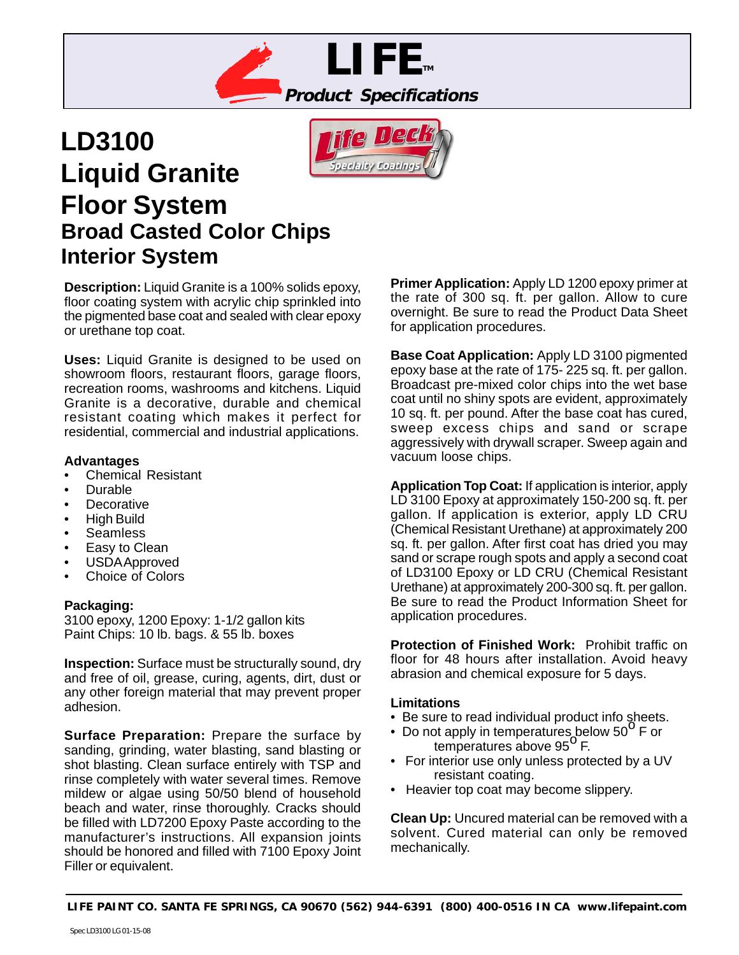



# **LD3100 Liquid Granite Floor System Broad Casted Color Chips Interior System**

**Description:** Liquid Granite is a 100% solids epoxy, floor coating system with acrylic chip sprinkled into the pigmented base coat and sealed with clear epoxy or urethane top coat.

**Uses:** Liquid Granite is designed to be used on showroom floors, restaurant floors, garage floors, recreation rooms, washrooms and kitchens. Liquid Granite is a decorative, durable and chemical resistant coating which makes it perfect for residential, commercial and industrial applications.

# **Advantages**

- Chemical Resistant
- Durable
- **Decorative**
- High Build
- **Seamless**
- Easy to Clean
- USDA Approved
- Choice of Colors

# **Packaging:**

3100 epoxy, 1200 Epoxy: 1-1/2 gallon kits Paint Chips: 10 lb. bags. & 55 lb. boxes

**Inspection:** Surface must be structurally sound, dry and free of oil, grease, curing, agents, dirt, dust or any other foreign material that may prevent proper adhesion.

**Surface Preparation:** Prepare the surface by sanding, grinding, water blasting, sand blasting or shot blasting. Clean surface entirely with TSP and rinse completely with water several times. Remove mildew or algae using 50/50 blend of household beach and water, rinse thoroughly. Cracks should be filled with LD7200 Epoxy Paste according to the manufacturer's instructions. All expansion joints should be honored and filled with 7100 Epoxy Joint Filler or equivalent.

**Primer Application:** Apply LD 1200 epoxy primer at the rate of 300 sq. ft. per gallon. Allow to cure overnight. Be sure to read the Product Data Sheet for application procedures.

**Base Coat Application:** Apply LD 3100 pigmented epoxy base at the rate of 175- 225 sq. ft. per gallon. Broadcast pre-mixed color chips into the wet base coat until no shiny spots are evident, approximately 10 sq. ft. per pound. After the base coat has cured, sweep excess chips and sand or scrape aggressively with drywall scraper. Sweep again and vacuum loose chips.

**Application Top Coat:** If application is interior, apply LD 3100 Epoxy at approximately 150-200 sq. ft. per gallon. If application is exterior, apply LD CRU (Chemical Resistant Urethane) at approximately 200 sq. ft. per gallon. After first coat has dried you may sand or scrape rough spots and apply a second coat of LD3100 Epoxy or LD CRU (Chemical Resistant Urethane) at approximately 200-300 sq. ft. per gallon. Be sure to read the Product Information Sheet for application procedures.

**Protection of Finished Work:** Prohibit traffic on floor for 48 hours after installation. Avoid heavy abrasion and chemical exposure for 5 days.

## **Limitations**

- Be sure to read individual product info sheets.
- Be sure to read individual product line sheets<br>• Do not apply in temperatures below 50<sup>o</sup> F or R apply in temperatures be<br>temperatures above 95<sup>0</sup> F.
- For interior use only unless protected by a UV resistant coating.
- Heavier top coat may become slippery.

**Clean Up:** Uncured material can be removed with a solvent. Cured material can only be removed mechanically.